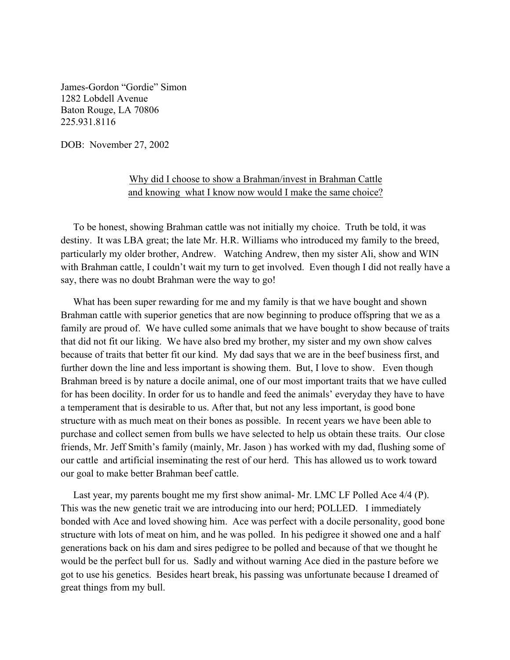James-Gordon "Gordie" Simon 1282 Lobdell Avenue Baton Rouge, LA 70806 225.931.8116

DOB: November 27, 2002

## Why did I choose to show a Brahman/invest in Brahman Cattle and knowing what I know now would I make the same choice?

 To be honest, showing Brahman cattle was not initially my choice. Truth be told, it was destiny. It was LBA great; the late Mr. H.R. Williams who introduced my family to the breed, particularly my older brother, Andrew. Watching Andrew, then my sister Ali, show and WIN with Brahman cattle, I couldn't wait my turn to get involved. Even though I did not really have a say, there was no doubt Brahman were the way to go!

 What has been super rewarding for me and my family is that we have bought and shown Brahman cattle with superior genetics that are now beginning to produce offspring that we as a family are proud of. We have culled some animals that we have bought to show because of traits that did not fit our liking. We have also bred my brother, my sister and my own show calves because of traits that better fit our kind. My dad says that we are in the beef business first, and further down the line and less important is showing them. But, I love to show. Even though Brahman breed is by nature a docile animal, one of our most important traits that we have culled for has been docility. In order for us to handle and feed the animals' everyday they have to have a temperament that is desirable to us. After that, but not any less important, is good bone structure with as much meat on their bones as possible. In recent years we have been able to purchase and collect semen from bulls we have selected to help us obtain these traits. Our close friends, Mr. Jeff Smith's family (mainly, Mr. Jason ) has worked with my dad, flushing some of our cattle and artificial inseminating the rest of our herd. This has allowed us to work toward our goal to make better Brahman beef cattle.

 Last year, my parents bought me my first show animal- Mr. LMC LF Polled Ace 4/4 (P). This was the new genetic trait we are introducing into our herd; POLLED. I immediately bonded with Ace and loved showing him. Ace was perfect with a docile personality, good bone structure with lots of meat on him, and he was polled. In his pedigree it showed one and a half generations back on his dam and sires pedigree to be polled and because of that we thought he would be the perfect bull for us. Sadly and without warning Ace died in the pasture before we got to use his genetics. Besides heart break, his passing was unfortunate because I dreamed of great things from my bull.